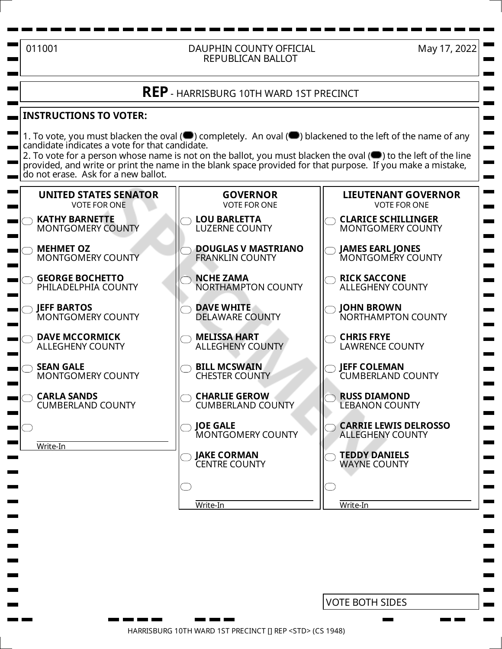## 011001 DAUPHIN COUNTY OFFICIAL REPUBLICAN BALLOT

May 17, 2022

## **REP**- HARRISBURG 10TH WARD 1ST PRECINCT

## **INSTRUCTIONS TO VOTER:**

1. To vote, you must blacken the oval ( $\bigcirc$ ) completely. An oval ( $\bigcirc$ ) blackened to the left of the name of any candidate indicates a vote for that candidate.

2. To vote for a person whose name is not on the ballot, you must blacken the oval  $($ **)** to the left of the line provided, and write or print the name in the blank space provided for that purpose. If you make a mistake, do not erase. Ask for a new ballot.